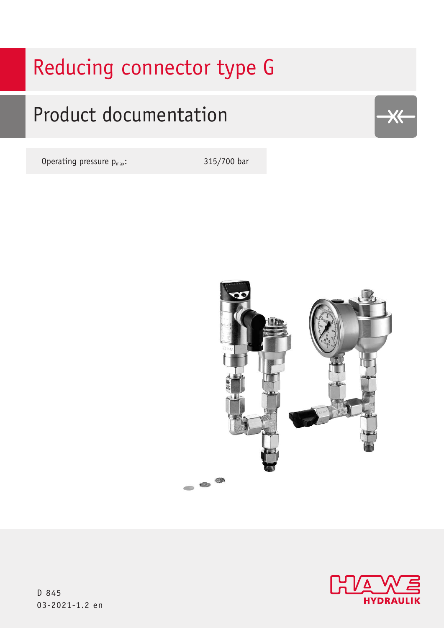# Reducing connector type G

## Product documentation

Operating pressure  $p_{max}$ : 315/700 bar





 $X \leftarrow$ 

D 845 03-2021-1.2 en 03-2021-1.2 en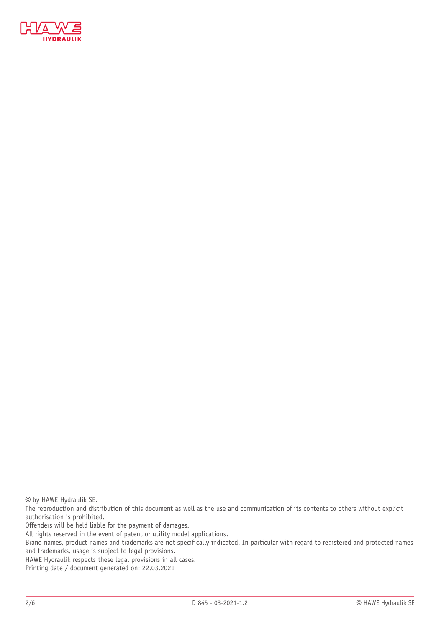

© by HAWE Hydraulik SE.

The reproduction and distribution of this document as well as the use and communication of its contents to others without explicit authorisation is prohibited.

Offenders will be held liable for the payment of damages.

All rights reserved in the event of patent or utility model applications.

Brand names, product names and trademarks are not specifically indicated. In particular with regard to registered and protected names and trademarks, usage is subject to legal provisions.

HAWE Hydraulik respects these legal provisions in all cases.

Printing date / document generated on: 22.03.2021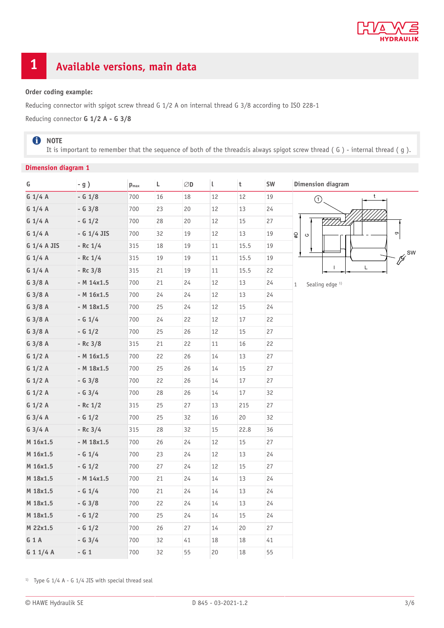

## **1 Available versions, main data**

#### **Order coding example:**

Reducing connector with spigot screw thread G 1/2 A on internal thread G 3/8 according to ISO 228-1

Reducing connector **G 1/2 A - G 3/8**

#### **O** NOTE

It is important to remember that the sequence of both of the threadsis always spigot screw thread ( G ) - internal thread ( g ).

#### **Dimension diagram 1**

| G           | $-g$ )        | $\mathbf{p}_{\text{max}}$ | L  | $\oslash$ D | t      | $\mathsf t$ | SW | <b>Dimension diagram</b>                     |
|-------------|---------------|---------------------------|----|-------------|--------|-------------|----|----------------------------------------------|
| G 1/4 A     | $- G 1/8$     | 700                       | 16 | 18          | 12     | 12          | 19 | t<br>$\odot$                                 |
| G 1/4 A     | $- G 3/8$     | 700                       | 23 | $20\,$      | $12\,$ | 13          | 24 |                                              |
| $G$ 1/4 A   | $- G 1/2$     | 700                       | 28 | 20          | 12     | 15          | 27 |                                              |
| G 1/4 A     | - G $1/4$ JIS | 700                       | 32 | 19          | 12     | 13          | 19 | $\mathbf{\sigma}$<br>$\mathsf{Q}$<br>$\circ$ |
| G 1/4 A JIS | $-$ Rc $1/4$  | 315                       | 18 | 19          | 11     | 15.5        | 19 |                                              |
| $G$ 1/4 A   | $-$ Rc $1/4$  | 315                       | 19 | 19          | 11     | 15.5        | 19 |                                              |
| $G$ 1/4 A   | $-$ Rc 3/8    | 315                       | 21 | 19          | $11\,$ | 15.5        | 22 | L                                            |
| $G$ 3/8 A   | $-M 14x1.5$   | 700                       | 21 | 24          | $12\,$ | 13          | 24 | Sealing edge <sup>1)</sup><br>$\mathbf{1}$   |
| $G$ 3/8 A   | $-M 16x1.5$   | 700                       | 24 | 24          | 12     | 13          | 24 |                                              |
| $G$ 3/8 A   | $- M 18x1.5$  | 700                       | 25 | 24          | $12\,$ | $15\,$      | 24 |                                              |
| $G$ 3/8 A   | $- G 1/4$     | 700                       | 24 | 22          | 12     | $17\,$      | 22 |                                              |
| $G$ 3/8 A   | $- G 1/2$     | 700                       | 25 | 26          | $12\,$ | 15          | 27 |                                              |
| $G$ 3/8 A   | $- RC 3/8$    | 315                       | 21 | 22          | 11     | $16\,$      | 22 |                                              |
| G 1/2 A     | $-M 16x1.5$   | 700                       | 22 | 26          | 14     | 13          | 27 |                                              |
| G 1/2 A     | $-M 18x1.5$   | 700                       | 25 | 26          | $14\,$ | $15\,$      | 27 |                                              |
| G 1/2 A     | $- G 3/8$     | 700                       | 22 | 26          | 14     | 17          | 27 |                                              |
| G 1/2 A     | $- G 3/4$     | 700                       | 28 | 26          | $14\,$ | 17          | 32 |                                              |
| G 1/2 A     | $-$ Rc $1/2$  | 315                       | 25 | 27          | 13     | 215         | 27 |                                              |
| $G$ 3/4 A   | $- G 1/2$     | 700                       | 25 | 32          | 16     | 20          | 32 |                                              |
| $G$ 3/4 A   | $-$ Rc 3/4    | 315                       | 28 | 32          | 15     | 22.8        | 36 |                                              |
| M 16x1.5    | $-M 18x1.5$   | 700                       | 26 | 24          | 12     | 15          | 27 |                                              |
| M 16x1.5    | $- G 1/4$     | 700                       | 23 | 24          | 12     | 13          | 24 |                                              |
| M 16x1.5    | $- G 1/2$     | 700                       | 27 | 24          | 12     | 15          | 27 |                                              |
| M 18x1.5    | $-M 14x1.5$   | 700                       | 21 | 24          | 14     | 13          | 24 |                                              |
| M 18x1.5    | $- G 1/4$     | 700                       | 21 | 24          | $14\,$ | 13          | 24 |                                              |
| M 18x1.5    | $- G 3/8$     | 700                       | 22 | 24          | 14     | 13          | 24 |                                              |
| M 18x1.5    | $- G 1/2$     | 700                       | 25 | 24          | 14     | 15          | 24 |                                              |
| M 22x1.5    | $- G 1/2$     | 700                       | 26 | 27          | $14\,$ | 20          | 27 |                                              |
| G 1 A       | $- G 3/4$     | 700                       | 32 | 41          | 18     | 18          | 41 |                                              |
| G 1 1/4 A   | $- G 1$       | 700                       | 32 | 55          | 20     | 18          | 55 |                                              |

<sup>1)</sup> Type G  $1/4$  A - G  $1/4$  JIS with special thread seal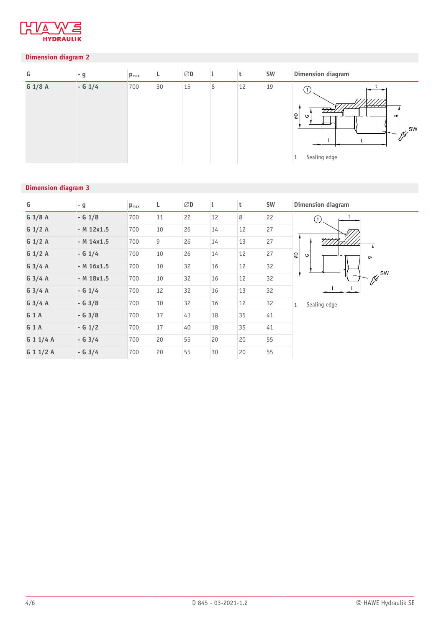

#### **Dimension diagram 2**

| G       | - g       | $p_{\text{max}}$ |    | $\varnothing$ D |   |    | <b>SW</b> | <b>Dimension diagram</b>                                                                   |
|---------|-----------|------------------|----|-----------------|---|----|-----------|--------------------------------------------------------------------------------------------|
| G 1/8 A | $- G 1/4$ | 700              | 30 | 15              | 8 | 12 | 19        | 'NHH<br>$\varpi$<br>$\circledast$<br>$\circ$<br>$\sigma$<br>$\chi$ SW<br>Ķ<br>Sealing edge |

#### **Dimension diagram 3**

| G                | - g            | $p_{\text{max}}$ | Г  | $\varnothing$ D |    | t  | SW | <b>Dimension diagram</b>                  |
|------------------|----------------|------------------|----|-----------------|----|----|----|-------------------------------------------|
| $G$ 3/8 A        | $- G 1/8$      | 700              | 11 | 22              | 12 | 8  | 22 | (1)                                       |
| G 1/2 A          | $-M 12x1.5$    | 700              | 10 | 26              | 14 | 12 | 27 |                                           |
| G 1/2 A          | $-M 14x1.5$    | 700              | 9  | 26              | 14 | 13 | 27 | 17 <u>7777</u>                            |
| G $1/2$ A        | $- G 1/4$      | 700              | 10 | 26              | 14 | 12 | 27 | $\frac{1}{\delta}$<br>$\circ$<br>$\sigma$ |
| G $3/4$ A        | $-M 16x1.5$    | 700              | 10 | 32              | 16 | 12 | 32 |                                           |
| $G$ 3/4 A        | $-M$ 18 $x1.5$ | 700              | 10 | 32              | 16 | 12 | 32 | · Jer SW<br>Sealing edge<br>$\mathbf{1}$  |
| G $3/4$ A        | $- G 1/4$      | 700              | 12 | 32              | 16 | 13 | 32 |                                           |
| G $3/4$ A        | $- G 3/8$      | 700              | 10 | 32              | 16 | 12 | 32 |                                           |
| G1A              | $- G 3/8$      | 700              | 17 | 41              | 18 | 35 | 41 |                                           |
| G <sub>1</sub> A | $- G 1/2$      | 700              | 17 | 40              | 18 | 35 | 41 |                                           |
| G 1 1/4 A        | $- G 3/4$      | 700              | 20 | 55              | 20 | 20 | 55 |                                           |
| G 1 1/2 A        | $- G 3/4$      | 700              | 20 | 55              | 30 | 20 | 55 |                                           |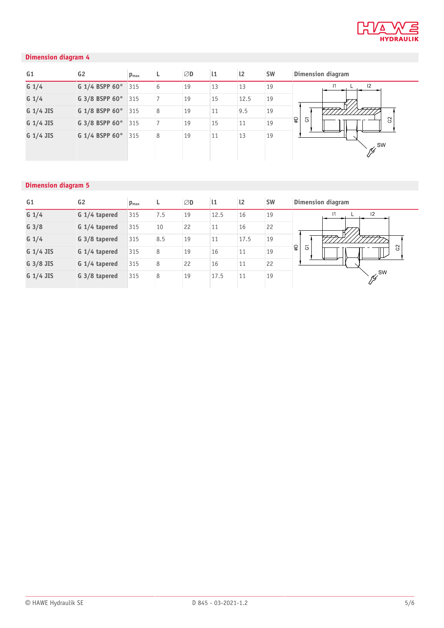

#### **Dimension diagram 4**

| G <sub>1</sub> | G <sub>2</sub> | $p_{\text{max}}$ |   | ØD | $\mathbf{11}$ | $\mathsf{I}2$ | <b>SW</b> | <b>Dimension diagram</b>                    |
|----------------|----------------|------------------|---|----|---------------|---------------|-----------|---------------------------------------------|
| $G_1/4$        | G 1/4 BSPP 60° | 315              | 6 | 19 | 13            | 13            | 19        | 12                                          |
| $G_1/4$        | G 3/8 BSPP 60° | 315              |   | 19 | 15            | 12.5          | 19        |                                             |
| G 1/4 JIS      | G 1/8 BSPP 60° | 315              | 8 | 19 | 11            | 9.5           | 19        | $\overline{\phantom{a}}$                    |
| G 1/4 JIS      | G 3/8 BSPP 60° | 315              |   | 19 | 15            | 11            | 19        | $\mathcal{S}^2$<br>ା<br>ବ<br>$\overline{6}$ |
| G 1/4 JIS      | G 1/4 BSPP 60° | 315              | 8 | 19 | 11            | 13            | 19        | <b>SW</b>                                   |

#### **Dimension diagram 5**

| G <sub>1</sub>   | G <sub>2</sub> | $p_{\text{max}}$ |     | ØD | $\mathbf{1}$ | $\mathsf{I}2$ | <b>SW</b> | <b>Dimension diagram</b> |
|------------------|----------------|------------------|-----|----|--------------|---------------|-----------|--------------------------|
| $G_1/4$          | G 1/4 tapered  | 315              | 7.5 | 19 | 12.5         | 16            | 19        | 12                       |
| G <sub>3/8</sub> | G 1/4 tapered  | 315              | 10  | 22 | 11           | 16            | 22        |                          |
| $G_1/4$          | G 3/8 tapered  | 315              | 8.5 | 19 | 11           | 17.5          | 19        | 777<br>7777              |
| $G$ 1/4 JIS      | G 1/4 tapered  | 315              | 8   | 19 | 16           | 11            | 19        | $\mathbf{Q}$<br>তি<br>S  |
| G 3/8 JIS        | G 1/4 tapered  | 315              | 8   | 22 | 16           | 11            | 22        |                          |
| $G$ 1/4 JIS      | G 3/8 tapered  | 315              | 8   | 19 | 17.5         | 11            | 19        | $\gamma$ SW              |